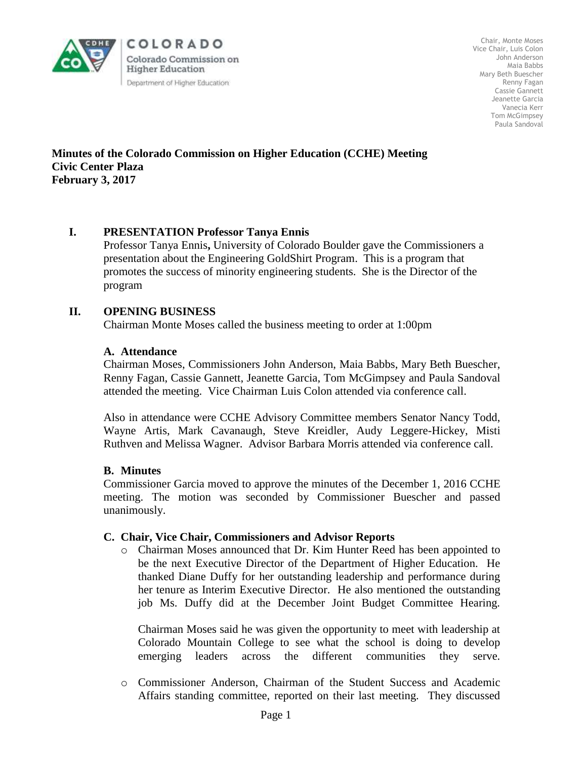

COLORADO Colorado Commission on **Higher Education** Department of Higher Education

Chair, Monte Moses Vice Chair, Luis Colon John Anderson Maia Babbs Mary Beth Buescher Renny Fagan Cassie Gannett Jeanette Garcia Vanecia Kerr Tom McGimpsey Paula Sandoval

**Minutes of the Colorado Commission on Higher Education (CCHE) Meeting Civic Center Plaza February 3, 2017**

## **I. PRESENTATION Professor Tanya Ennis**

Professor Tanya Ennis**,** University of Colorado Boulder gave the Commissioners a presentation about the Engineering GoldShirt Program. This is a program that promotes the success of minority engineering students. She is the Director of the program

## **II. OPENING BUSINESS**

Chairman Monte Moses called the business meeting to order at 1:00pm

#### **A. Attendance**

Chairman Moses, Commissioners John Anderson, Maia Babbs, Mary Beth Buescher, Renny Fagan, Cassie Gannett, Jeanette Garcia, Tom McGimpsey and Paula Sandoval attended the meeting. Vice Chairman Luis Colon attended via conference call.

Also in attendance were CCHE Advisory Committee members Senator Nancy Todd, Wayne Artis, Mark Cavanaugh, Steve Kreidler, Audy Leggere-Hickey, Misti Ruthven and Melissa Wagner. Advisor Barbara Morris attended via conference call.

#### **B. Minutes**

Commissioner Garcia moved to approve the minutes of the December 1, 2016 CCHE meeting. The motion was seconded by Commissioner Buescher and passed unanimously.

#### **C. Chair, Vice Chair, Commissioners and Advisor Reports**

o Chairman Moses announced that Dr. Kim Hunter Reed has been appointed to be the next Executive Director of the Department of Higher Education. He thanked Diane Duffy for her outstanding leadership and performance during her tenure as Interim Executive Director. He also mentioned the outstanding job Ms. Duffy did at the December Joint Budget Committee Hearing.

Chairman Moses said he was given the opportunity to meet with leadership at Colorado Mountain College to see what the school is doing to develop emerging leaders across the different communities they serve.

o Commissioner Anderson, Chairman of the Student Success and Academic Affairs standing committee, reported on their last meeting. They discussed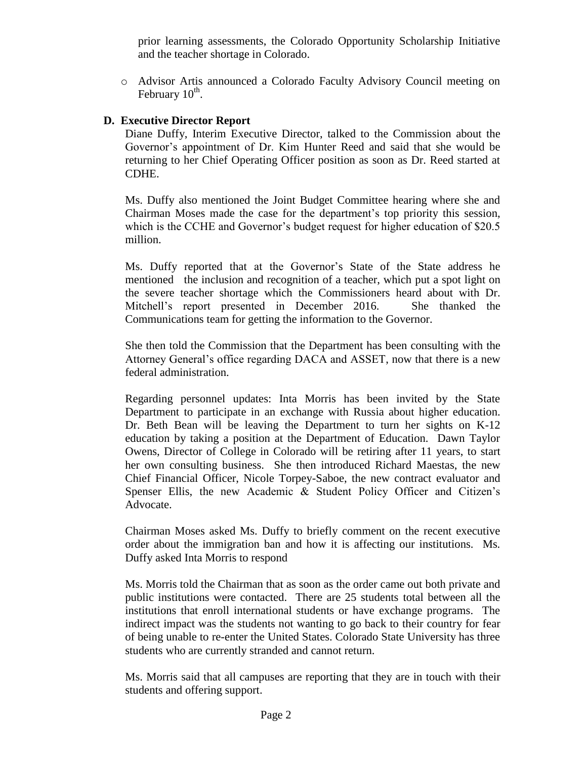prior learning assessments, the Colorado Opportunity Scholarship Initiative and the teacher shortage in Colorado.

o Advisor Artis announced a Colorado Faculty Advisory Council meeting on February  $10^{\text{th}}$ .

## **D. Executive Director Report**

Diane Duffy, Interim Executive Director, talked to the Commission about the Governor's appointment of Dr. Kim Hunter Reed and said that she would be returning to her Chief Operating Officer position as soon as Dr. Reed started at CDHE.

Ms. Duffy also mentioned the Joint Budget Committee hearing where she and Chairman Moses made the case for the department's top priority this session, which is the CCHE and Governor's budget request for higher education of \$20.5 million.

Ms. Duffy reported that at the Governor's State of the State address he mentioned the inclusion and recognition of a teacher, which put a spot light on the severe teacher shortage which the Commissioners heard about with Dr. Mitchell's report presented in December 2016. She thanked the Communications team for getting the information to the Governor.

She then told the Commission that the Department has been consulting with the Attorney General's office regarding DACA and ASSET, now that there is a new federal administration.

Regarding personnel updates: Inta Morris has been invited by the State Department to participate in an exchange with Russia about higher education. Dr. Beth Bean will be leaving the Department to turn her sights on K-12 education by taking a position at the Department of Education. Dawn Taylor Owens, Director of College in Colorado will be retiring after 11 years, to start her own consulting business. She then introduced Richard Maestas, the new Chief Financial Officer, Nicole Torpey-Saboe, the new contract evaluator and Spenser Ellis, the new Academic & Student Policy Officer and Citizen's Advocate.

Chairman Moses asked Ms. Duffy to briefly comment on the recent executive order about the immigration ban and how it is affecting our institutions. Ms. Duffy asked Inta Morris to respond

Ms. Morris told the Chairman that as soon as the order came out both private and public institutions were contacted. There are 25 students total between all the institutions that enroll international students or have exchange programs. The indirect impact was the students not wanting to go back to their country for fear of being unable to re-enter the United States. Colorado State University has three students who are currently stranded and cannot return.

Ms. Morris said that all campuses are reporting that they are in touch with their students and offering support.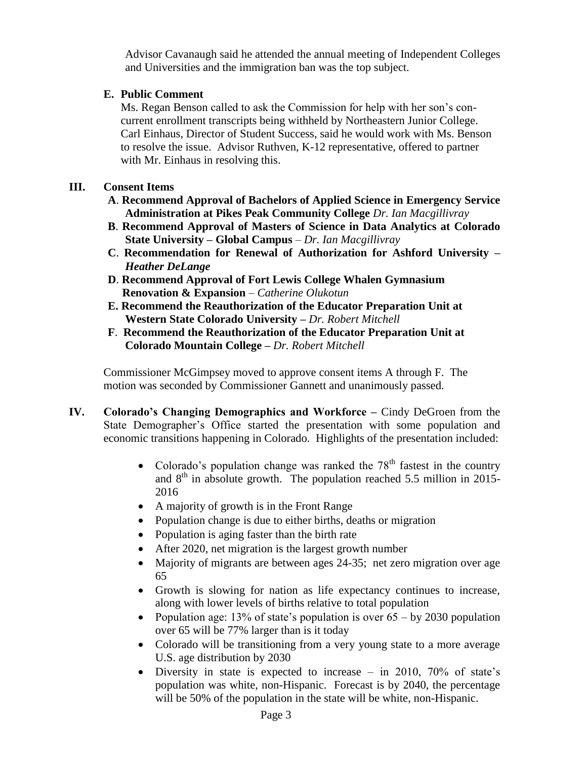Advisor Cavanaugh said he attended the annual meeting of Independent Colleges and Universities and the immigration ban was the top subject.

# **E. Public Comment**

Ms. Regan Benson called to ask the Commission for help with her son's concurrent enrollment transcripts being withheld by Northeastern Junior College. Carl Einhaus, Director of Student Success, said he would work with Ms. Benson to resolve the issue. Advisor Ruthven, K-12 representative, offered to partner with Mr. Einhaus in resolving this.

## **III. Consent Items**

- **A**. **Recommend Approval of Bachelors of Applied Science in Emergency Service Administration at Pikes Peak Community College** *Dr. Ian Macgillivray*
- **B**. **Recommend Approval of Masters of Science in Data Analytics at Colorado State University – Global Campus** – *Dr. Ian Macgillivray*
- **C**. **Recommendation for Renewal of Authorization for Ashford University**  *Heather DeLange*
- **D**. **Recommend Approval of Fort Lewis College Whalen Gymnasium Renovation & Expansion** – *Catherine Olukotun*
- **E. Recommend the Reauthorization of the Educator Preparation Unit at Western State Colorado University –** *Dr. Robert Mitchell*
- **F**. **Recommend the Reauthorization of the Educator Preparation Unit at Colorado Mountain College –** *Dr. Robert Mitchell*

Commissioner McGimpsey moved to approve consent items A through F. The motion was seconded by Commissioner Gannett and unanimously passed.

- **IV. Colorado's Changing Demographics and Workforce –** Cindy DeGroen from the State Demographer's Office started the presentation with some population and economic transitions happening in Colorado. Highlights of the presentation included:
	- Colorado's population change was ranked the  $78<sup>th</sup>$  fastest in the country and  $8<sup>th</sup>$  in absolute growth. The population reached 5.5 million in 2015-2016
	- A majority of growth is in the Front Range
	- Population change is due to either births, deaths or migration
	- Population is aging faster than the birth rate
	- After 2020, net migration is the largest growth number
	- Majority of migrants are between ages 24-35; net zero migration over age 65
	- Growth is slowing for nation as life expectancy continues to increase, along with lower levels of births relative to total population
	- Population age: 13% of state's population is over  $65 by 2030$  population over 65 will be 77% larger than is it today
	- Colorado will be transitioning from a very young state to a more average U.S. age distribution by 2030
	- Diversity in state is expected to increase in 2010,  $70\%$  of state's population was white, non-Hispanic. Forecast is by 2040, the percentage will be 50% of the population in the state will be white, non-Hispanic.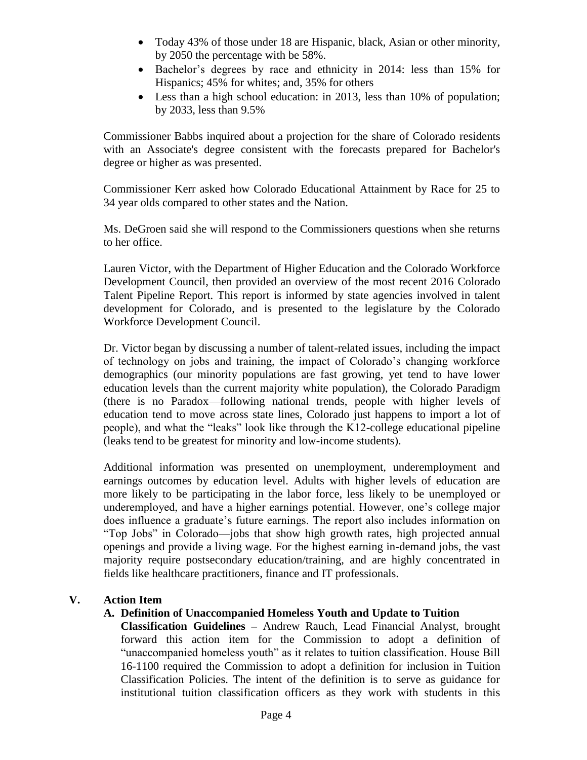- Today 43% of those under 18 are Hispanic, black, Asian or other minority, by 2050 the percentage with be 58%.
- Bachelor's degrees by race and ethnicity in 2014: less than 15% for Hispanics; 45% for whites; and, 35% for others
- Less than a high school education: in 2013, less than 10% of population; by 2033, less than 9.5%

Commissioner Babbs inquired about a projection for the share of Colorado residents with an Associate's degree consistent with the forecasts prepared for Bachelor's degree or higher as was presented.

Commissioner Kerr asked how Colorado Educational Attainment by Race for 25 to 34 year olds compared to other states and the Nation.

Ms. DeGroen said she will respond to the Commissioners questions when she returns to her office.

Lauren Victor, with the Department of Higher Education and the Colorado Workforce Development Council, then provided an overview of the most recent 2016 Colorado Talent Pipeline Report. This report is informed by state agencies involved in talent development for Colorado, and is presented to the legislature by the Colorado Workforce Development Council.

Dr. Victor began by discussing a number of talent-related issues, including the impact of technology on jobs and training, the impact of Colorado's changing workforce demographics (our minority populations are fast growing, yet tend to have lower education levels than the current majority white population), the Colorado Paradigm (there is no Paradox—following national trends, people with higher levels of education tend to move across state lines, Colorado just happens to import a lot of people), and what the "leaks" look like through the K12-college educational pipeline (leaks tend to be greatest for minority and low-income students).

Additional information was presented on unemployment, underemployment and earnings outcomes by education level. Adults with higher levels of education are more likely to be participating in the labor force, less likely to be unemployed or underemployed, and have a higher earnings potential. However, one's college major does influence a graduate's future earnings. The report also includes information on "Top Jobs" in Colorado—jobs that show high growth rates, high projected annual openings and provide a living wage. For the highest earning in-demand jobs, the vast majority require postsecondary education/training, and are highly concentrated in fields like healthcare practitioners, finance and IT professionals.

## **V. Action Item**

## **A. Definition of Unaccompanied Homeless Youth and Update to Tuition**

**Classification Guidelines –** Andrew Rauch, Lead Financial Analyst, brought forward this action item for the Commission to adopt a definition of "unaccompanied homeless youth" as it relates to tuition classification. House Bill 16-1100 required the Commission to adopt a definition for inclusion in Tuition Classification Policies. The intent of the definition is to serve as guidance for institutional tuition classification officers as they work with students in this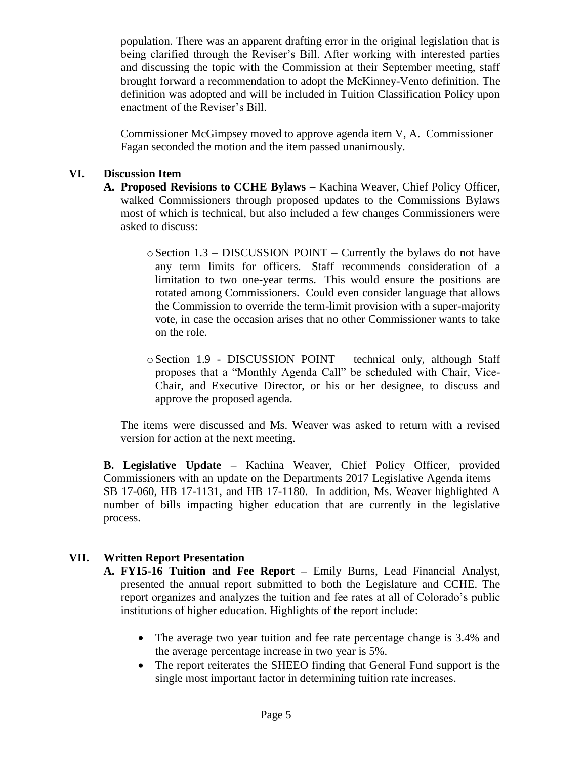population. There was an apparent drafting error in the original legislation that is being clarified through the Reviser's Bill. After working with interested parties and discussing the topic with the Commission at their September meeting, staff brought forward a recommendation to adopt the McKinney-Vento definition. The definition was adopted and will be included in Tuition Classification Policy upon enactment of the Reviser's Bill.

Commissioner McGimpsey moved to approve agenda item V, A. Commissioner Fagan seconded the motion and the item passed unanimously.

## **VI. Discussion Item**

- **A. Proposed Revisions to CCHE Bylaws –** Kachina Weaver, Chief Policy Officer, walked Commissioners through proposed updates to the Commissions Bylaws most of which is technical, but also included a few changes Commissioners were asked to discuss:
	- oSection 1.3 DISCUSSION POINT Currently the bylaws do not have any term limits for officers. Staff recommends consideration of a limitation to two one-year terms. This would ensure the positions are rotated among Commissioners. Could even consider language that allows the Commission to override the term-limit provision with a super-majority vote, in case the occasion arises that no other Commissioner wants to take on the role.
	- oSection 1.9 DISCUSSION POINT technical only, although Staff proposes that a "Monthly Agenda Call" be scheduled with Chair, Vice-Chair, and Executive Director, or his or her designee, to discuss and approve the proposed agenda.

The items were discussed and Ms. Weaver was asked to return with a revised version for action at the next meeting.

**B. Legislative Update –** Kachina Weaver, Chief Policy Officer, provided Commissioners with an update on the Departments 2017 Legislative Agenda items – SB 17-060, HB 17-1131, and HB 17-1180. In addition, Ms. Weaver highlighted A number of bills impacting higher education that are currently in the legislative process.

## **VII. Written Report Presentation**

- **A. FY15-16 Tuition and Fee Report –** Emily Burns, Lead Financial Analyst, presented the annual report submitted to both the Legislature and CCHE. The report organizes and analyzes the tuition and fee rates at all of Colorado's public institutions of higher education. Highlights of the report include:
	- The average two year tuition and fee rate percentage change is 3.4% and the average percentage increase in two year is 5%.
	- The report reiterates the SHEEO finding that General Fund support is the single most important factor in determining tuition rate increases.